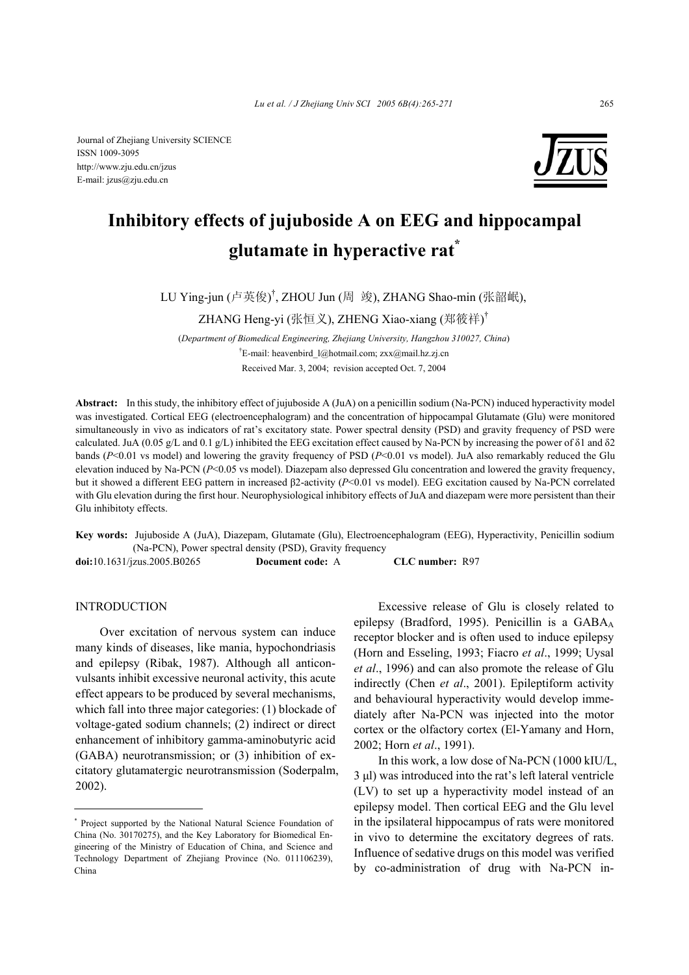

# **Inhibitory effects of jujuboside A on EEG and hippocampal glutamate in hyperactive rat\***

LU Ying-jun (卢英俊)<sup>†</sup>, ZHOU Jun (周 竣), ZHANG Shao-min (张韶岷),

ZHANG Heng-yi (张恒义), ZHENG Xiao-xiang (郑筱祥)<sup>†</sup>

(*Department of Biomedical Engineering, Zhejiang University, Hangzhou 310027, China*) † E-mail: heavenbird\_l@hotmail.com; zxx@mail.hz.zj.cn Received Mar. 3, 2004; revision accepted Oct. 7, 2004

**Abstract:** In this study, the inhibitory effect of jujuboside A (JuA) on a penicillin sodium (Na-PCN) induced hyperactivity model was investigated. Cortical EEG (electroencephalogram) and the concentration of hippocampal Glutamate (Glu) were monitored simultaneously in vivo as indicators of rat's excitatory state. Power spectral density (PSD) and gravity frequency of PSD were calculated. JuA (0.05 g/L and 0.1 g/L) inhibited the EEG excitation effect caused by Na-PCN by increasing the power of δ1 and δ2 bands (*P*<0.01 vs model) and lowering the gravity frequency of PSD (*P*<0.01 vs model). JuA also remarkably reduced the Glu elevation induced by Na-PCN (*P*<0.05 vs model). Diazepam also depressed Glu concentration and lowered the gravity frequency, but it showed a different EEG pattern in increased β2-activity (*P*<0.01 vs model). EEG excitation caused by Na-PCN correlated with Glu elevation during the first hour. Neurophysiological inhibitory effects of JuA and diazepam were more persistent than their Glu inhibitoty effects.

**Key words:** Jujuboside A (JuA), Diazepam, Glutamate (Glu), Electroencephalogram (EEG), Hyperactivity, Penicillin sodium (Na-PCN), Power spectral density (PSD), Gravity frequency **doi:**10.1631/jzus.2005.B0265 **Document code:** A **CLC number:** R97

# **INTRODUCTION**

Over excitation of nervous system can induce many kinds of diseases, like mania, hypochondriasis and epilepsy (Ribak, 1987). Although all anticonvulsants inhibit excessive neuronal activity, this acute effect appears to be produced by several mechanisms, which fall into three major categories: (1) blockade of voltage-gated sodium channels; (2) indirect or direct enhancement of inhibitory gamma-aminobutyric acid (GABA) neurotransmission; or (3) inhibition of excitatory glutamatergic neurotransmission (Soderpalm, 2002).

Excessive release of Glu is closely related to epilepsy (Bradford, 1995). Penicillin is a  $GABA_A$ receptor blocker and is often used to induce epilepsy (Horn and Esseling, 1993; Fiacro *et al*., 1999; Uysal *et al*., 1996) and can also promote the release of Glu indirectly (Chen *et al*., 2001). Epileptiform activity and behavioural hyperactivity would develop immediately after Na-PCN was injected into the motor cortex or the olfactory cortex (El-Yamany and Horn, 2002; Horn *et al*., 1991).

In this work, a low dose of Na-PCN (1000 kIU/L, 3 µl) was introduced into the rat's left lateral ventricle (LV) to set up a hyperactivity model instead of an epilepsy model. Then cortical EEG and the Glu level in the ipsilateral hippocampus of rats were monitored in vivo to determine the excitatory degrees of rats. Influence of sedative drugs on this model was verified by co-administration of drug with Na-PCN in-

<sup>\*</sup> Project supported by the National Natural Science Foundation of China (No. 30170275), and the Key Laboratory for Biomedical Engineering of the Ministry of Education of China, and Science and Technology Department of Zhejiang Province (No. 011106239), China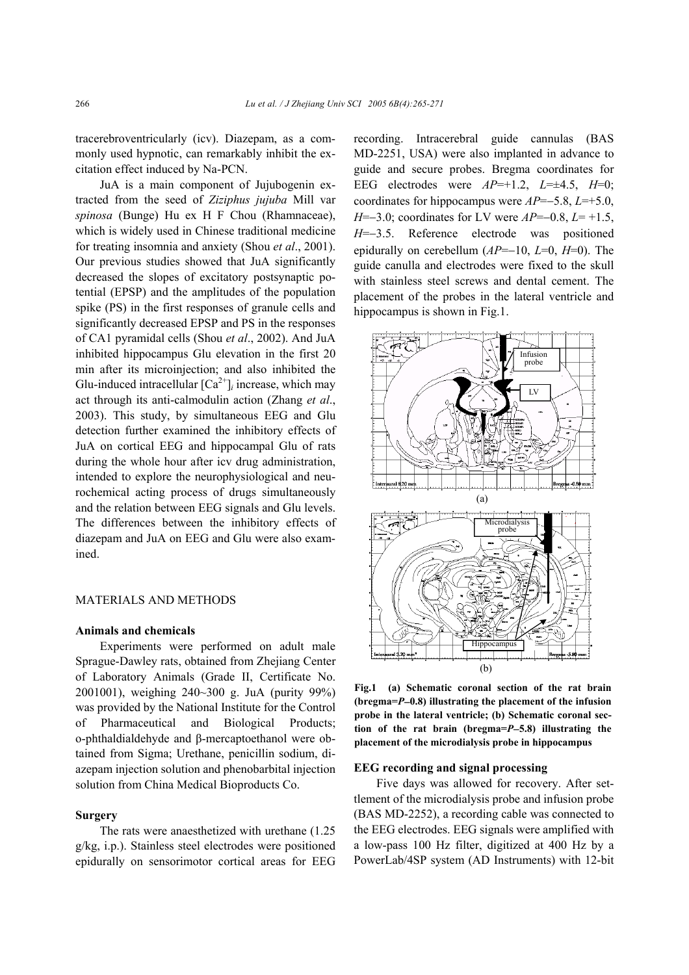tracerebroventricularly (icv). Diazepam, as a commonly used hypnotic, can remarkably inhibit the excitation effect induced by Na-PCN.

JuA is a main component of Jujubogenin extracted from the seed of *Ziziphus jujuba* Mill var *spinosa* (Bunge) Hu ex H F Chou (Rhamnaceae), which is widely used in Chinese traditional medicine for treating insomnia and anxiety (Shou *et al*., 2001). Our previous studies showed that JuA significantly decreased the slopes of excitatory postsynaptic potential (EPSP) and the amplitudes of the population spike (PS) in the first responses of granule cells and significantly decreased EPSP and PS in the responses of CA1 pyramidal cells (Shou *et al*., 2002). And JuA inhibited hippocampus Glu elevation in the first 20 min after its microinjection; and also inhibited the Glu-induced intracellular  $[Ca^{2+}]_i$  increase, which may act through its anti-calmodulin action (Zhang *et al*., 2003). This study, by simultaneous EEG and Glu detection further examined the inhibitory effects of JuA on cortical EEG and hippocampal Glu of rats during the whole hour after icv drug administration, intended to explore the neurophysiological and neurochemical acting process of drugs simultaneously and the relation between EEG signals and Glu levels. The differences between the inhibitory effects of diazepam and JuA on EEG and Glu were also examined.

#### MATERIALS AND METHODS

#### **Animals and chemicals**

Experiments were performed on adult male Sprague-Dawley rats, obtained from Zhejiang Center of Laboratory Animals (Grade II, Certificate No. 2001001), weighing 240~300 g. JuA (purity 99%) was provided by the National Institute for the Control of Pharmaceutical and Biological Products; o-phthaldialdehyde and β-mercaptoethanol were obtained from Sigma; Urethane, penicillin sodium, diazepam injection solution and phenobarbital injection solution from China Medical Bioproducts Co.

## **Surgery**

The rats were anaesthetized with urethane (1.25 g/kg, i.p.). Stainless steel electrodes were positioned epidurally on sensorimotor cortical areas for EEG recording. Intracerebral guide cannulas (BAS MD-2251, USA) were also implanted in advance to guide and secure probes. Bregma coordinates for EEG electrodes were *AP*=+1.2, *L*=±4.5, *H*=0; coordinates for hippocampus were *AP*=−5.8, *L*=+5.0, *H*=−3.0; coordinates for LV were *AP*=−0.8, *L*= +1.5, *H*=−3.5. Reference electrode was positioned epidurally on cerebellum (*AP*=−10, *L*=0, *H*=0). The guide canulla and electrodes were fixed to the skull with stainless steel screws and dental cement. The placement of the probes in the lateral ventricle and hippocampus is shown in Fig.1.



**Fig.1 (a) Schematic coronal section of the rat brain (bregma=***P*−**0.8) illustrating the placement of the infusion probe in the lateral ventricle; (b) Schematic coronal section of the rat brain (bregma=***P*−**5.8) illustrating the placement of the microdialysis probe in hippocampus** 

## **EEG recording and signal processing**

Five days was allowed for recovery. After settlement of the microdialysis probe and infusion probe (BAS MD-2252), a recording cable was connected to the EEG electrodes. EEG signals were amplified with a low-pass 100 Hz filter, digitized at 400 Hz by a PowerLab/4SP system (AD Instruments) with 12-bit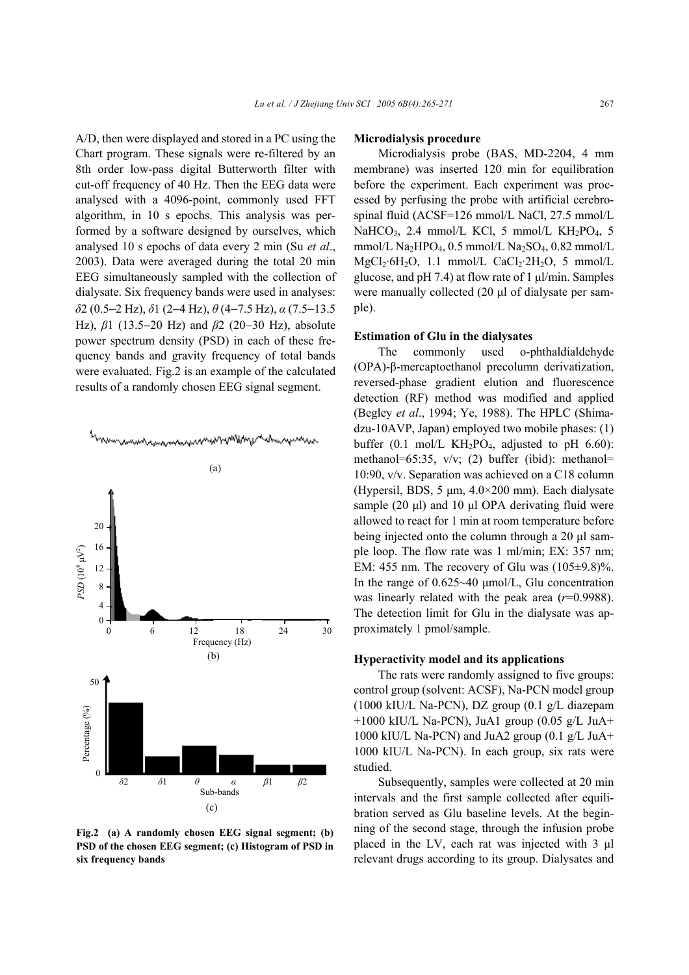A/D, then were displayed and stored in a PC using the Chart program. These signals were re-filtered by an 8th order low-pass digital Butterworth filter with cut-off frequency of 40 Hz. Then the EEG data were analysed with a 4096-point, commonly used FFT algorithm, in 10 s epochs. This analysis was performed by a software designed by ourselves, which analysed 10 s epochs of data every 2 min (Su *et al*., 2003). Data were averaged during the total 20 min EEG simultaneously sampled with the collection of dialysate. Six frequency bands were used in analyses: *δ*2 (0.5−2 Hz), *δ*1 (2−4 Hz), *θ* (4−7.5 Hz), *α* (7.5−13.5 Hz), *β*1 (13.5−20 Hz) and *β*2 (20−30 Hz), absolute power spectrum density (PSD) in each of these frequency bands and gravity frequency of total bands were evaluated. Fig.2 is an example of the calculated results of a randomly chosen EEG signal segment.



## **Fig.2 (a) A randomly chosen EEG signal segment; (b) PSD of the chosen EEG segment; (c) Histogram of PSD in six frequency bands**

#### **Microdialysis procedure**

Microdialysis probe (BAS, MD-2204, 4 mm membrane) was inserted 120 min for equilibration before the experiment. Each experiment was processed by perfusing the probe with artificial cerebrospinal fluid (ACSF=126 mmol/L NaCl, 27.5 mmol/L NaHCO<sub>3</sub>, 2.4 mmol/L KCl, 5 mmol/L KH<sub>2</sub>PO<sub>4</sub>, 5 mmol/L Na<sub>2</sub>HPO<sub>4</sub>, 0.5 mmol/L Na<sub>2</sub>SO<sub>4</sub>, 0.82 mmol/L  $MgCl<sub>2</sub>·6H<sub>2</sub>O$ , 1.1 mmol/L CaCl<sub>2</sub>·2H<sub>2</sub>O, 5 mmol/L glucose, and  $pH$  7.4) at flow rate of 1  $\mu$ l/min. Samples were manually collected (20  $\mu$ l of dialysate per sample).

## **Estimation of Glu in the dialysates**

The commonly used o-phthaldialdehyde (OPA)-β-mercaptoethanol precolumn derivatization, reversed-phase gradient elution and fluorescence detection (RF) method was modified and applied (Begley *et al*., 1994; Ye, 1988). The HPLC (Shimadzu-10AVP, Japan) employed two mobile phases: (1) buffer  $(0.1 \text{ mol/L KH}_2PO_4$ , adjusted to pH 6.60): methanol=65:35, v/v; (2) buffer (ibid): methanol= 10:90, v/v. Separation was achieved on a C18 column (Hypersil, BDS, 5  $\mu$ m, 4.0×200 mm). Each dialysate sample (20  $\mu$ l) and 10  $\mu$ l OPA derivating fluid were allowed to react for 1 min at room temperature before being injected onto the column through a 20 µl sample loop. The flow rate was 1 ml/min; EX: 357 nm; EM: 455 nm. The recovery of Glu was  $(105\pm9.8)\%$ . In the range of 0.625~40 µmol/L, Glu concentration was linearly related with the peak area (*r*=0.9988). The detection limit for Glu in the dialysate was approximately 1 pmol/sample.

#### **Hyperactivity model and its applications**

The rats were randomly assigned to five groups: control group (solvent: ACSF), Na-PCN model group (1000 kIU/L Na-PCN), DZ group (0.1 g/L diazepam  $+1000$  kIU/L Na-PCN), JuA1 group  $(0.05 \text{ g/L}$  JuA+ 1000 kIU/L Na-PCN) and JuA2 group (0.1 g/L JuA+ 1000 kIU/L Na-PCN). In each group, six rats were studied.

Subsequently, samples were collected at 20 min intervals and the first sample collected after equilibration served as Glu baseline levels. At the beginning of the second stage, through the infusion probe placed in the LV, each rat was injected with 3 µl relevant drugs according to its group. Dialysates and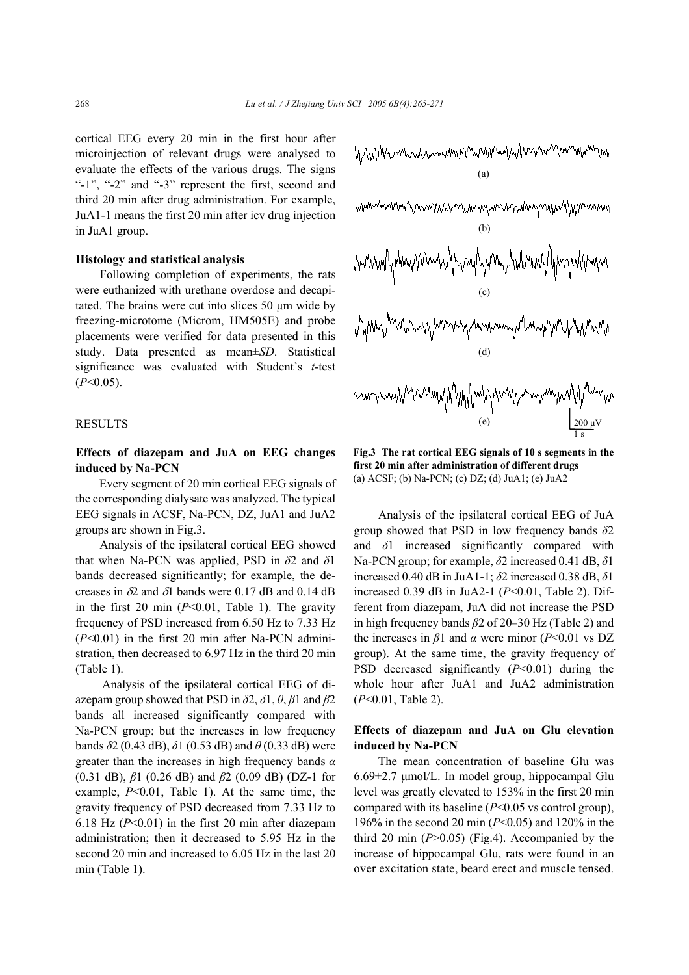cortical EEG every 20 min in the first hour after microinjection of relevant drugs were analysed to evaluate the effects of the various drugs. The signs "-1", "-2" and "-3" represent the first, second and third 20 min after drug administration. For example, JuA1-1 means the first 20 min after icv drug injection in JuA1 group.

#### **Histology and statistical analysis**

Following completion of experiments, the rats were euthanized with urethane overdose and decapitated. The brains were cut into slices 50 µm wide by freezing-microtome (Microm, HM505E) and probe placements were verified for data presented in this study. Data presented as mean±*SD*. Statistical significance was evaluated with Student's *t*-test (*P*<0.05).

## RESULTS

# **Effects of diazepam and JuA on EEG changes induced by Na-PCN**

Every segment of 20 min cortical EEG signals of the corresponding dialysate was analyzed. The typical EEG signals in ACSF, Na-PCN, DZ, JuA1 and JuA2 groups are shown in Fig.3.

Analysis of the ipsilateral cortical EEG showed that when Na-PCN was applied, PSD in *δ*2 and *δ*1 bands decreased significantly; for example, the decreases in  $\delta$ 2 and  $\delta$ 1 bands were 0.17 dB and 0.14 dB in the first 20 min (*P*<0.01, Table 1). The gravity frequency of PSD increased from 6.50 Hz to 7.33 Hz (*P*<0.01) in the first 20 min after Na-PCN administration, then decreased to 6.97 Hz in the third 20 min (Table 1).

Analysis of the ipsilateral cortical EEG of diazepam group showed that PSD in *δ*2, *δ*1, *θ*, *β*1 and *β*2 bands all increased significantly compared with Na-PCN group; but the increases in low frequency bands *δ*2 (0.43 dB), *δ*1 (0.53 dB) and *θ* (0.33 dB) were greater than the increases in high frequency bands *α* (0.31 dB), *β*1 (0.26 dB) and *β*2 (0.09 dB) (DZ-1 for example, *P*<0.01, Table 1). At the same time, the gravity frequency of PSD decreased from 7.33 Hz to 6.18 Hz (*P*<0.01) in the first 20 min after diazepam administration; then it decreased to 5.95 Hz in the second 20 min and increased to 6.05 Hz in the last 20 min (Table 1).





**Fig.3 The rat cortical EEG signals of 10 s segments in the first 20 min after administration of different drugs**  (a) ACSF; (b) Na-PCN; (c) DZ; (d) JuA1; (e) JuA2

Analysis of the ipsilateral cortical EEG of JuA group showed that PSD in low frequency bands *δ*2 and *δ*1 increased significantly compared with Na-PCN group; for example, *δ*2 increased 0.41 dB, *δ*1 increased 0.40 dB in JuA1-1; *δ*2 increased 0.38 dB, *δ*1 increased 0.39 dB in JuA2-1 (*P*<0.01, Table 2). Different from diazepam, JuA did not increase the PSD in high frequency bands *β*2 of 20−30 Hz (Table 2) and the increases in *β*1 and *α* were minor (*P*<0.01 vs DZ group). At the same time, the gravity frequency of PSD decreased significantly (*P*<0.01) during the whole hour after JuA1 and JuA2 administration (*P*<0.01, Table 2).

## **Effects of diazepam and JuA on Glu elevation induced by Na-PCN**

The mean concentration of baseline Glu was 6.69±2.7 µmol/L. In model group, hippocampal Glu level was greatly elevated to 153% in the first 20 min compared with its baseline (*P*<0.05 vs control group), 196% in the second 20 min (*P*<0.05) and 120% in the third 20 min (*P*>0.05) (Fig.4). Accompanied by the increase of hippocampal Glu, rats were found in an over excitation state, beard erect and muscle tensed.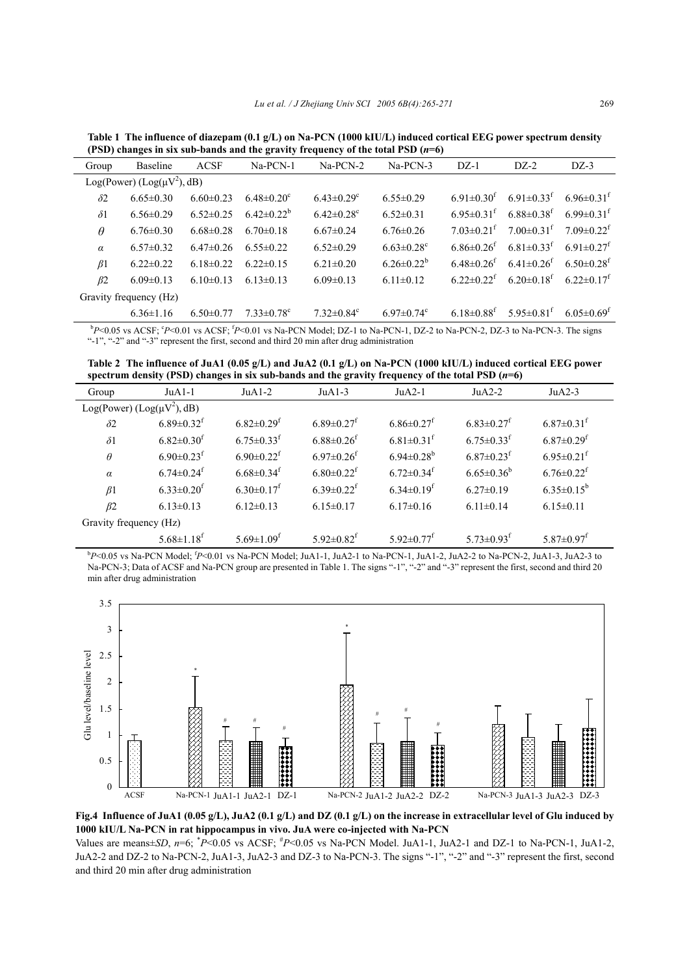**Table 1 The influence of diazepam (0.1 g/L) on Na-PCN (1000 kIU/L) induced cortical EEG power spectrum density (PSD) changes in six sub-bands and the gravity frequency of the total PSD (***n***=6)** 

| Group                                        | Baseline        | <b>ACSF</b>     | Na-PCN-1                     | $Na-PCN-2$                   | $Na-PCN-3$                   | $DZ-1$                       | $DZ-2$                       | $DZ-3$                       |  |  |  |
|----------------------------------------------|-----------------|-----------------|------------------------------|------------------------------|------------------------------|------------------------------|------------------------------|------------------------------|--|--|--|
| Log(Power) (Log( $\mu$ V <sup>2</sup> ), dB) |                 |                 |                              |                              |                              |                              |                              |                              |  |  |  |
| $\delta$ 2                                   | $6.65 \pm 0.30$ | $6.60 \pm 0.23$ | $6.48 \pm 0.20^c$            | $6.43 \pm 0.29$ <sup>c</sup> | $6.55 \pm 0.29$              | $6.91 \pm 0.30^{\text{t}}$   | $6.91 \pm 0.33$ <sup>f</sup> | $6.96 \pm 0.31$ <sup>t</sup> |  |  |  |
| $\delta$ 1                                   | $6.56 \pm 0.29$ | $6.52 \pm 0.25$ | $6.42 \pm 0.22^b$            | $6.42 \pm 0.28$ <sup>c</sup> | $6.52 \pm 0.31$              | $6.95 \pm 0.31$ <sup>f</sup> | $6.88 \pm 0.38$ <sup>f</sup> | $6.99 \pm 0.31$ <sup>f</sup> |  |  |  |
| $\theta$                                     | $6.76 \pm 0.30$ | $6.68\pm0.28$   | $6.70 \pm 0.18$              | $6.67\pm0.24$                | $6.76 \pm 0.26$              | $7.03 \pm 0.21$ <sup>f</sup> | $7.00 \pm 0.31$ <sup>f</sup> | $7.09 \pm 0.22$ <sup>f</sup> |  |  |  |
| $\alpha$                                     | $6.57\pm0.32$   | $6.47\pm0.26$   | $6.55 \pm 0.22$              | $6.52 \pm 0.29$              | $6.63 \pm 0.28$ <sup>c</sup> | 6.86 $\pm$ 0.26 <sup>t</sup> | $6.81 \pm 0.33$ <sup>f</sup> | $6.91 \pm 0.27$ <sup>f</sup> |  |  |  |
| $\beta$ 1                                    | $6.22 \pm 0.22$ | $6.18\pm0.22$   | $622\pm0.15$                 | $6.21 \pm 0.20$              | $6.26 \pm 0.22^b$            | $6.48\pm0.26$ <sup>t</sup>   | $6.41\pm0.26$ <sup>t</sup>   | $6.50\pm0.28$ <sup>f</sup>   |  |  |  |
| $\beta$ 2                                    | $6.09\pm0.13$   | $6.10 \pm 0.13$ | $613\pm0.13$                 | $6.09 \pm 0.13$              | $6.11\pm0.12$                | $6.22 \pm 0.22$ <sup>f</sup> | $6.20 \pm 0.18$ <sup>f</sup> | 6.22 $\pm$ 0.17 <sup>t</sup> |  |  |  |
| Gravity frequency (Hz)                       |                 |                 |                              |                              |                              |                              |                              |                              |  |  |  |
|                                              | $6.36 \pm 1.16$ | $6.50 \pm 0.77$ | $7.33 \pm 0.78$ <sup>c</sup> | $7.32 \pm 0.84$ <sup>c</sup> | 6.97 $\pm$ 0.74 $\rm{c}$     | $6.18 \pm 0.88$ <sup>t</sup> | $5.95 \pm 0.81^{\text{T}}$   | $6.05 \pm 0.69$ <sup>t</sup> |  |  |  |

*b* $P$ <0.05 vs ACSF;  $P$ <0.01 vs ACSF;  $P$ <0.01 vs Na-PCN Model; DZ-1 to Na-PCN-1, DZ-2 to Na-PCN-2, DZ-3 to Na-PCN-3. The signs "-1", "-2" and "-3" represent the first, second and third 20 min after drug administration

**Table 2 The influence of JuA1 (0.05 g/L) and JuA2 (0.1 g/L) on Na-PCN (1000 kIU/L) induced cortical EEG power spectrum density (PSD) changes in six sub-bands and the gravity frequency of the total PSD (***n***=6)** 

| Group                  | $JuA1-1$                                     | $JuA1-2$                     | $JuA1-3$                     | $JuA2-1$                     | $JuA2-2$                     | $JuA2-3$                     |  |  |
|------------------------|----------------------------------------------|------------------------------|------------------------------|------------------------------|------------------------------|------------------------------|--|--|
|                        | Log(Power) (Log( $\mu$ V <sup>2</sup> ), dB) |                              |                              |                              |                              |                              |  |  |
| $\delta$ 2             | $6.89 \pm 0.32$ <sup>f</sup>                 | $6.82 \pm 0.29$ <sup>f</sup> | $6.89 \pm 0.27$ <sup>f</sup> | $6.86 \pm 0.27$ <sup>f</sup> | $6.83 \pm 0.27$ <sup>f</sup> | $6.87 \pm 0.31$ <sup>f</sup> |  |  |
| $\delta$ 1             | $6.82 \pm 0.30$ <sup>f</sup>                 | $6.75 \pm 0.33$ <sup>f</sup> | $6.88 \pm 0.26$ <sup>f</sup> | $6.81 \pm 0.31$ <sup>f</sup> | $6.75 \pm 0.33$ <sup>f</sup> | $6.87 \pm 0.29$ <sup>f</sup> |  |  |
| $\theta$               | $6.90 \pm 0.23$ <sup>f</sup>                 | $6.90 \pm 0.22$ <sup>f</sup> | $6.97 \pm 0.26$ <sup>f</sup> | $6.94 \pm 0.28$ <sup>b</sup> | $6.87 \pm 0.23$ <sup>f</sup> | $6.95 \pm 0.21$ <sup>f</sup> |  |  |
| $\alpha$               | $6.74 \pm 0.24$ <sup>f</sup>                 | $6.68 \pm 0.34$ <sup>f</sup> | $6.80 \pm 0.22$ <sup>f</sup> | $6.72 \pm 0.34$ <sup>f</sup> | $6.65 \pm 0.36^b$            | $6.76 \pm 0.22$ <sup>f</sup> |  |  |
| $\beta$ 1              | $6.33 \pm 0.20$ <sup>f</sup>                 | $6.30 \pm 0.17$ <sup>f</sup> | $6.39 \pm 0.22$ <sup>f</sup> | $6.34 \pm 0.19$ <sup>f</sup> | $6.27 \pm 0.19$              | $6.35 \pm 0.15^b$            |  |  |
| $\beta$ 2              | $6.13 \pm 0.13$                              | $6.12 \pm 0.13$              | $6.15 \pm 0.17$              | $6.17 \pm 0.16$              | $6.11 \pm 0.14$              | $6.15 \pm 0.11$              |  |  |
| Gravity frequency (Hz) |                                              |                              |                              |                              |                              |                              |  |  |
|                        | $5.68 \pm 1.18$ <sup>f</sup>                 | 5.69 $\pm$ 1.09 <sup>f</sup> | $5.92 \pm 0.82$ <sup>f</sup> | $5.92 \pm 0.77$ <sup>f</sup> | $5.73 \pm 0.93$ <sup>f</sup> | $5.87 \pm 0.97$ <sup>f</sup> |  |  |

b *P*<0.05 vs Na-PCN Model; <sup>f</sup> *P*<0.01 vs Na-PCN Model; JuA1-1, JuA2-1 to Na-PCN-1, JuA1-2, JuA2-2 to Na-PCN-2, JuA1-3, JuA2-3 to Na-PCN-3; Data of ACSF and Na-PCN group are presented in Table 1. The signs "-1", "-2" and "-3" represent the first, second and third 20 min after drug administration





Values are means $\pm SD$ ,  $n=6$ ;  $P<0.05$  vs ACSF;  ${}^{#}P<0.05$  vs Na-PCN Model. JuA1-1, JuA2-1 and DZ-1 to Na-PCN-1, JuA1-2, JuA2-2 and DZ-2 to Na-PCN-2, JuA1-3, JuA2-3 and DZ-3 to Na-PCN-3. The signs "-1", "-2" and "-3" represent the first, second and third 20 min after drug administration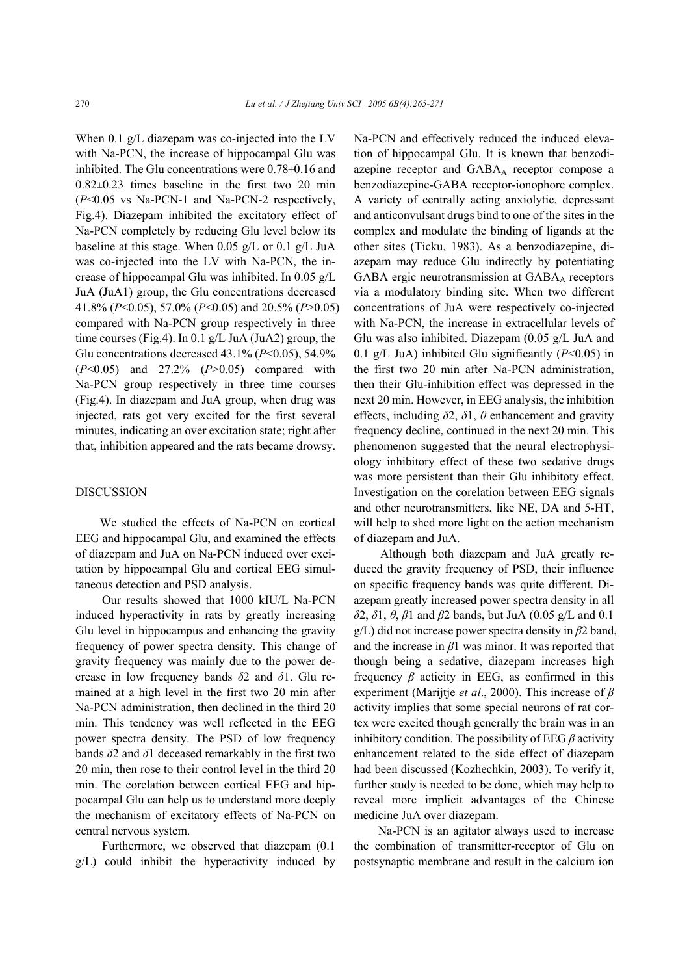When 0.1 g/L diazepam was co-injected into the LV with Na-PCN, the increase of hippocampal Glu was inhibited. The Glu concentrations were 0.78±0.16 and  $0.82\pm0.23$  times baseline in the first two 20 min (*P*<0.05 vs Na-PCN-1 and Na-PCN-2 respectively, Fig.4). Diazepam inhibited the excitatory effect of Na-PCN completely by reducing Glu level below its baseline at this stage. When 0.05 g/L or 0.1 g/L JuA was co-injected into the LV with Na-PCN, the increase of hippocampal Glu was inhibited. In 0.05 g/L JuA (JuA1) group, the Glu concentrations decreased 41.8% (*P*<0.05), 57.0% (*P*<0.05) and 20.5% (*P*>0.05) compared with Na-PCN group respectively in three time courses (Fig.4). In 0.1  $g/L$  JuA (JuA2) group, the Glu concentrations decreased 43.1% (*P*<0.05), 54.9% (*P*<0.05) and 27.2% (*P*>0.05) compared with Na-PCN group respectively in three time courses (Fig.4). In diazepam and JuA group, when drug was injected, rats got very excited for the first several minutes, indicating an over excitation state; right after that, inhibition appeared and the rats became drowsy.

#### DISCUSSION

We studied the effects of Na-PCN on cortical EEG and hippocampal Glu, and examined the effects of diazepam and JuA on Na-PCN induced over excitation by hippocampal Glu and cortical EEG simultaneous detection and PSD analysis.

Our results showed that 1000 kIU/L Na-PCN induced hyperactivity in rats by greatly increasing Glu level in hippocampus and enhancing the gravity frequency of power spectra density. This change of gravity frequency was mainly due to the power decrease in low frequency bands *δ*2 and *δ*1. Glu remained at a high level in the first two 20 min after Na-PCN administration, then declined in the third 20 min. This tendency was well reflected in the EEG power spectra density. The PSD of low frequency bands *δ*2 and *δ*1 deceased remarkably in the first two 20 min, then rose to their control level in the third 20 min. The corelation between cortical EEG and hippocampal Glu can help us to understand more deeply the mechanism of excitatory effects of Na-PCN on central nervous system.

Furthermore, we observed that diazepam (0.1 g/L) could inhibit the hyperactivity induced by Na-PCN and effectively reduced the induced elevation of hippocampal Glu. It is known that benzodiazepine receptor and GABAA receptor compose a benzodiazepine-GABA receptor-ionophore complex. A variety of centrally acting anxiolytic, depressant and anticonvulsant drugs bind to one of the sites in the complex and modulate the binding of ligands at the other sites (Ticku, 1983). As a benzodiazepine, diazepam may reduce Glu indirectly by potentiating GABA ergic neurotransmission at GABAA receptors via a modulatory binding site. When two different concentrations of JuA were respectively co-injected with Na-PCN, the increase in extracellular levels of Glu was also inhibited. Diazepam (0.05 g/L JuA and 0.1 g/L JuA) inhibited Glu significantly  $(P<0.05)$  in the first two 20 min after Na-PCN administration, then their Glu-inhibition effect was depressed in the next 20 min. However, in EEG analysis, the inhibition effects, including *δ*2, *δ*1, *θ* enhancement and gravity frequency decline, continued in the next 20 min. This phenomenon suggested that the neural electrophysiology inhibitory effect of these two sedative drugs was more persistent than their Glu inhibitoty effect. Investigation on the corelation between EEG signals and other neurotransmitters, like NE, DA and 5-HT, will help to shed more light on the action mechanism of diazepam and JuA.

Although both diazepam and JuA greatly reduced the gravity frequency of PSD, their influence on specific frequency bands was quite different. Diazepam greatly increased power spectra density in all *δ*2, *δ*1, *θ*, *β*1 and *β*2 bands, but JuA (0.05 g/L and 0.1 g/L) did not increase power spectra density in *β*2 band, and the increase in *β*1 was minor. It was reported that though being a sedative, diazepam increases high frequency  $\beta$  acticity in EEG, as confirmed in this experiment (Marijtje *et al*., 2000). This increase of *β* activity implies that some special neurons of rat cortex were excited though generally the brain was in an inhibitory condition. The possibility of EEG *β* activity enhancement related to the side effect of diazepam had been discussed (Kozhechkin, 2003). To verify it, further study is needed to be done, which may help to reveal more implicit advantages of the Chinese medicine JuA over diazepam.

Na-PCN is an agitator always used to increase the combination of transmitter-receptor of Glu on postsynaptic membrane and result in the calcium ion